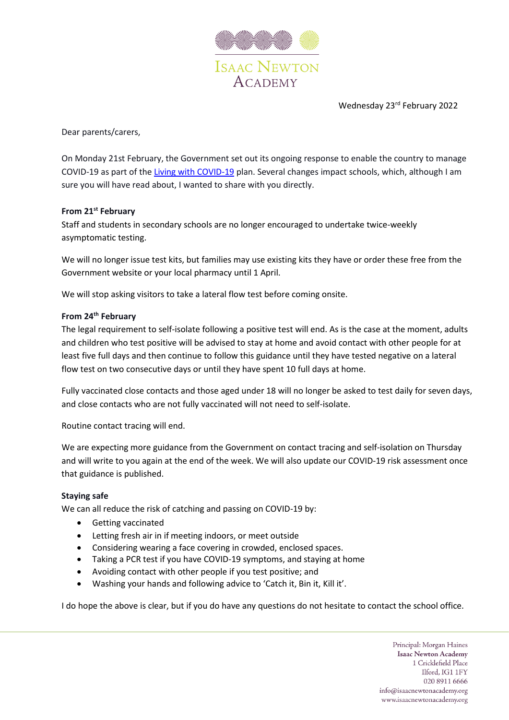

Wednesday 23rd February 2022

Dear parents/carers,

On Monday 21st February, the Government set out its ongoing response to enable the country to manage COVID-19 as part of the [Living with COVID-19](https://assets.publishing.service.gov.uk/government/uploads/system/uploads/attachment_data/file/1056229/COVID-19_Response_-_Living_with_COVID-19.pdf) plan. Several changes impact schools, which, although I am sure you will have read about, I wanted to share with you directly.

## **From 21st February**

Staff and students in secondary schools are no longer encouraged to undertake twice-weekly asymptomatic testing.

We will no longer issue test kits, but families may use existing kits they have or order these free from the Government website or your local pharmacy until 1 April.

We will stop asking visitors to take a lateral flow test before coming onsite.

## **From 24th February**

The legal requirement to self-isolate following a positive test will end. As is the case at the moment, adults and children who test positive will be advised to stay at home and avoid contact with other people for at least five full days and then continue to follow this guidance until they have tested negative on a lateral flow test on two consecutive days or until they have spent 10 full days at home.

Fully vaccinated close contacts and those aged under 18 will no longer be asked to test daily for seven days, and close contacts who are not fully vaccinated will not need to self-isolate.

Routine contact tracing will end.

We are expecting more guidance from the Government on contact tracing and self-isolation on Thursday and will write to you again at the end of the week. We will also update our COVID-19 risk assessment once that guidance is published.

## **Staying safe**

We can all reduce the risk of catching and passing on COVID-19 by:

- Getting vaccinated
- Letting fresh air in if meeting indoors, or meet outside
- Considering wearing a face covering in crowded, enclosed spaces.
- Taking a PCR test if you have COVID-19 symptoms, and staying at home
- Avoiding contact with other people if you test positive; and
- Washing your hands and following advice to 'Catch it, Bin it, Kill it'.

I do hope the above is clear, but if you do have any questions do not hesitate to contact the school office.

Principal: Morgan Haines **Isaac Newton Academy** 1 Cricklefield Place Ilford, IG1 1FY 020 8911 6666 info@isaacnewtonacademy.org www.isaacnewtonacademy.org